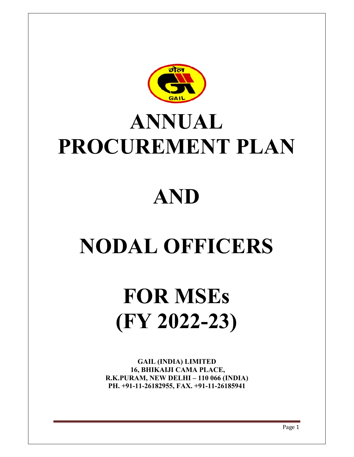

## **PROCUREMENT PLAN A AN NU UAL**

## $\bf AND$

# $NODAL$  **OFFICERS**

## **F FOR R M MSE Es (F FY 2 202 2-23 3)**

16, BHIKAIJI CAMA PLACE, **R.K.PURAM, NEW DELHI – 110 066 (INDIA) PH. +91 1-11-26182 2955, FAX X. +91-11-2 26185941 GAIL (I INDIA) LI IMITED**

Page 1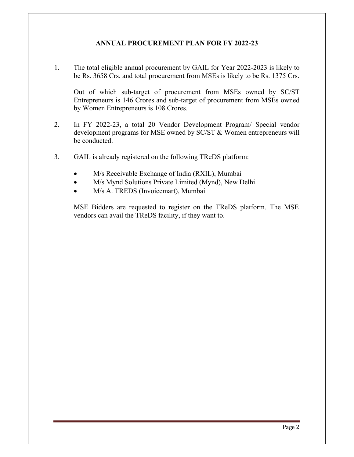#### **ANNUAL PROCUREMENT PLAN FOR FY 2022-23**

1. The total eligible annual procurement by GAIL for Year 2022-2023 is likely to be Rs. 3658 Crs. and total procurement from MSEs is likely to be Rs. 1375 Crs.

Out of which sub-target of procurement from MSEs owned by SC/ST Entrepreneurs is 146 Crores and sub-target of procurement from MSEs owned by Women Entrepreneurs is 108 Crores.

- 2. In FY 2022-23, a total 20 Vendor Development Program/ Special vendor development programs for MSE owned by SC/ST & Women entrepreneurs will be conducted.
- 3. GAIL is already registered on the following TReDS platform:
	- M/s Receivable Exchange of India (RXIL), Mumbai
	- M/s Mynd Solutions Private Limited (Mynd), New Delhi
	- M/s A. TREDS (Invoicemart), Mumbai

MSE Bidders are requested to register on the TReDS platform. The MSE vendors can avail the TReDS facility, if they want to.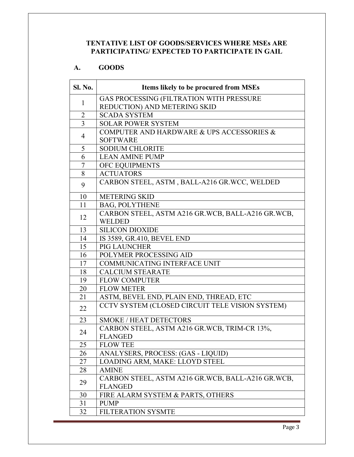#### **TENTATIVE LIST OF GOODS/SERVICES WHERE MSEs ARE PARTICIPATING/ EXPECTED TO PARTICIPATE IN GAIL**

#### **A. GOODS**

| Sl. No.        | Items likely to be procured from MSEs             |  |  |
|----------------|---------------------------------------------------|--|--|
|                | GAS PROCESSING (FILTRATION WITH PRESSURE          |  |  |
| $\mathbf{1}$   | REDUCTION) AND METERING SKID                      |  |  |
| 2              | <b>SCADA SYSTEM</b>                               |  |  |
| $\overline{3}$ | <b>SOLAR POWER SYSTEM</b>                         |  |  |
|                | COMPUTER AND HARDWARE & UPS ACCESSORIES &         |  |  |
| 4              | <b>SOFTWARE</b>                                   |  |  |
| 5              | <b>SODIUM CHLORITE</b>                            |  |  |
| 6              | <b>LEAN AMINE PUMP</b>                            |  |  |
| 7              | OFC EQUIPMENTS                                    |  |  |
| 8              | <b>ACTUATORS</b>                                  |  |  |
| 9              | CARBON STEEL, ASTM, BALL-A216 GR.WCC, WELDED      |  |  |
| 10             | <b>METERING SKID</b>                              |  |  |
| 11             | <b>BAG, POLYTHENE</b>                             |  |  |
|                | CARBON STEEL, ASTM A216 GR.WCB, BALL-A216 GR.WCB, |  |  |
| 12             | <b>WELDED</b>                                     |  |  |
| 13             | <b>SILICON DIOXIDE</b>                            |  |  |
| 14             | IS 3589, GR.410, BEVEL END                        |  |  |
| 15             | PIG LAUNCHER                                      |  |  |
| 16             | POLYMER PROCESSING AID                            |  |  |
| 17             | <b>COMMUNICATING INTERFACE UNIT</b>               |  |  |
| 18             | <b>CALCIUM STEARATE</b>                           |  |  |
| 19             | <b>FLOW COMPUTER</b>                              |  |  |
| 20             | <b>FLOW METER</b>                                 |  |  |
| 21             | ASTM, BEVEL END, PLAIN END, THREAD, ETC           |  |  |
| 22             | CCTV SYSTEM (CLOSED CIRCUIT TELE VISION SYSTEM)   |  |  |
| 23             | <b>SMOKE / HEAT DETECTORS</b>                     |  |  |
| 24             | CARBON STEEL, ASTM A216 GR.WCB, TRIM-CR 13%,      |  |  |
|                | <b>FLANGED</b>                                    |  |  |
| 25             | <b>FLOW TEE</b>                                   |  |  |
| 26             | ANALYSERS, PROCESS: (GAS - LIQUID)                |  |  |
| 27             | LOADING ARM, MAKE: LLOYD STEEL                    |  |  |
| 28             | <b>AMINE</b>                                      |  |  |
| 29             | CARBON STEEL, ASTM A216 GR.WCB, BALL-A216 GR.WCB, |  |  |
|                | <b>FLANGED</b>                                    |  |  |
| 30             | FIRE ALARM SYSTEM & PARTS, OTHERS                 |  |  |
| 31             | <b>PUMP</b>                                       |  |  |
| 32             | <b>FILTERATION SYSMTE</b>                         |  |  |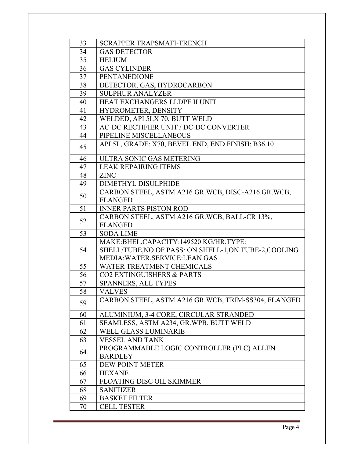| 33 | SCRAPPER TRAPSMAFI-TRENCH                              |  |  |
|----|--------------------------------------------------------|--|--|
| 34 | <b>GAS DETECTOR</b>                                    |  |  |
| 35 | <b>HELIUM</b>                                          |  |  |
| 36 | <b>GAS CYLINDER</b>                                    |  |  |
| 37 | <b>PENTANEDIONE</b>                                    |  |  |
| 38 | DETECTOR, GAS, HYDROCARBON                             |  |  |
| 39 | <b>SULPHUR ANALYZER</b>                                |  |  |
| 40 | HEAT EXCHANGERS LLDPE II UNIT                          |  |  |
| 41 | HYDROMETER, DENSITY                                    |  |  |
| 42 | WELDED, API 5LX 70, BUTT WELD                          |  |  |
| 43 | AC-DC RECTIFIER UNIT / DC-DC CONVERTER                 |  |  |
| 44 | PIPELINE MISCELLANEOUS                                 |  |  |
| 45 | API 5L, GRADE: X70, BEVEL END, END FINISH: B36.10      |  |  |
| 46 | ULTRA SONIC GAS METERING                               |  |  |
| 47 | <b>LEAK REPAIRING ITEMS</b>                            |  |  |
| 48 | <b>ZINC</b>                                            |  |  |
| 49 | <b>DIMETHYL DISULPHIDE</b>                             |  |  |
| 50 | CARBON STEEL, ASTM A216 GR.WCB, DISC-A216 GR.WCB,      |  |  |
|    | <b>FLANGED</b>                                         |  |  |
| 51 | <b>INNER PARTS PISTON ROD</b>                          |  |  |
| 52 | CARBON STEEL, ASTM A216 GR.WCB, BALL-CR 13%,           |  |  |
|    | <b>FLANGED</b>                                         |  |  |
| 53 | <b>SODA LIME</b>                                       |  |  |
|    | MAKE:BHEL,CAPACITY:149520 KG/HR,TYPE:                  |  |  |
| 54 | SHELL/TUBE, NO OF PASS: ON SHELL-1, ON TUBE-2, COOLING |  |  |
|    | MEDIA: WATER, SERVICE: LEAN GAS                        |  |  |
| 55 | WATER TREATMENT CHEMICALS                              |  |  |
| 56 | <b>CO2 EXTINGUISHERS &amp; PARTS</b>                   |  |  |
| 57 | SPANNERS, ALL TYPES                                    |  |  |
| 58 | <b>VALVES</b>                                          |  |  |
| 59 | CARBON STEEL, ASTM A216 GR.WCB, TRIM-SS304, FLANGED    |  |  |
| 60 | ALUMINIUM, 3-4 CORE, CIRCULAR STRANDED                 |  |  |
| 61 | SEAMLESS, ASTM A234, GR.WPB, BUTT WELD                 |  |  |
| 62 | WELL GLASS LUMINARIE                                   |  |  |
| 63 | <b>VESSEL AND TANK</b>                                 |  |  |
| 64 | PROGRAMMABLE LOGIC CONTROLLER (PLC) ALLEN              |  |  |
|    | <b>BARDLEY</b>                                         |  |  |
| 65 | DEW POINT METER                                        |  |  |
| 66 | <b>HEXANE</b>                                          |  |  |
| 67 | <b>FLOATING DISC OIL SKIMMER</b>                       |  |  |
| 68 | <b>SANITIZER</b>                                       |  |  |
| 69 | <b>BASKET FILTER</b>                                   |  |  |
| 70 | <b>CELL TESTER</b>                                     |  |  |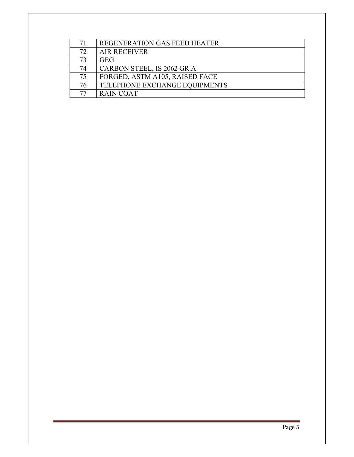| 71 | REGENERATION GAS FEED HEATER   |
|----|--------------------------------|
| 72 | <b>AIR RECEIVER</b>            |
| 73 | <b>GEG</b>                     |
| 74 | CARBON STEEL, IS 2062 GR.A     |
| 75 | FORGED, ASTM A105, RAISED FACE |
| 76 | TELEPHONE EXCHANGE EQUIPMENTS  |
| 77 | <b>RAIN COAT</b>               |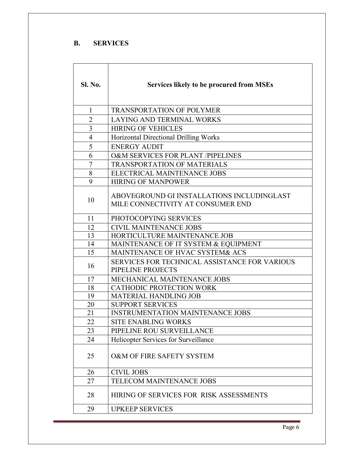#### **B. SERVICES**

| <b>Sl. No.</b> | <b>Services likely to be procured from MSEs</b>                                 |  |  |
|----------------|---------------------------------------------------------------------------------|--|--|
| $\mathbf{1}$   | <b>TRANSPORTATION OF POLYMER</b>                                                |  |  |
| $\overline{2}$ | <b>LAYING AND TERMINAL WORKS</b>                                                |  |  |
| 3              | <b>HIRING OF VEHICLES</b>                                                       |  |  |
| $\overline{4}$ | Horizontal Directional Drilling Works                                           |  |  |
| 5              | <b>ENERGY AUDIT</b>                                                             |  |  |
| 6              | O&M SERVICES FOR PLANT /PIPELINES                                               |  |  |
| 7              | TRANSPORTATION OF MATERIALS                                                     |  |  |
| 8              | ELECTRICAL MAINTENANCE JOBS                                                     |  |  |
| 9              | <b>HIRING OF MANPOWER</b>                                                       |  |  |
| 10             | ABOVEGROUND GI INSTALLATIONS INCLUDINGLAST<br>MILE CONNECTIVITY AT CONSUMER END |  |  |
| 11             | PHOTOCOPYING SERVICES                                                           |  |  |
| 12             | <b>CIVIL MAINTENANCE JOBS</b>                                                   |  |  |
| 13             | HORTICULTURE MAINTENANCE JOB                                                    |  |  |
| 14             | MAINTENANCE OF IT SYSTEM & EQUIPMENT                                            |  |  |
| 15             | MAINTENANCE OF HVAC SYSTEM& ACS                                                 |  |  |
| 16             | <b>SERVICES FOR TECHNICAL ASSISTANCE FOR VARIOUS</b><br>PIPELINE PROJECTS       |  |  |
| 17             | MECHANICAL MAINTENANCE JOBS                                                     |  |  |
| 18             | <b>CATHODIC PROTECTION WORK</b>                                                 |  |  |
| 19             | MATERIAL HANDLING JOB                                                           |  |  |
| 20             | <b>SUPPORT SERVICES</b>                                                         |  |  |
| 21             | INSTRUMENTATION MAINTENANCE JOBS                                                |  |  |
| 22             | SITE ENABLING WORKS                                                             |  |  |
| 23             | PIPELINE ROU SURVEILLANCE                                                       |  |  |
| 24             | <b>Helicopter Services for Surveillance</b>                                     |  |  |
| 25             | O&M OF FIRE SAFETY SYSTEM                                                       |  |  |
| 26             | <b>CIVIL JOBS</b>                                                               |  |  |
| 27             | TELECOM MAINTENANCE JOBS                                                        |  |  |
| 28             | HIRING OF SERVICES FOR RISK ASSESSMENTS                                         |  |  |
| 29             | <b>UPKEEP SERVICES</b>                                                          |  |  |

Page 6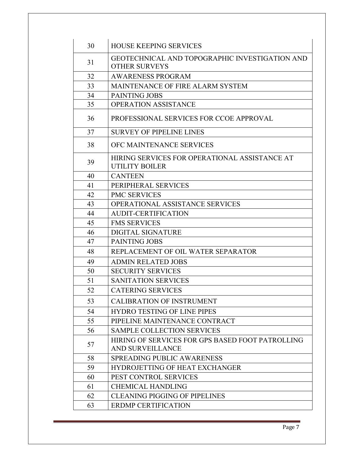| 30 | <b>HOUSE KEEPING SERVICES</b>                                          |  |  |
|----|------------------------------------------------------------------------|--|--|
| 31 | GEOTECHNICAL AND TOPOGRAPHIC INVESTIGATION AND<br><b>OTHER SURVEYS</b> |  |  |
| 32 | <b>AWARENESS PROGRAM</b>                                               |  |  |
| 33 | MAINTENANCE OF FIRE ALARM SYSTEM                                       |  |  |
| 34 | <b>PAINTING JOBS</b>                                                   |  |  |
| 35 | <b>OPERATION ASSISTANCE</b>                                            |  |  |
| 36 | PROFESSIONAL SERVICES FOR CCOE APPROVAL                                |  |  |
| 37 | <b>SURVEY OF PIPELINE LINES</b>                                        |  |  |
| 38 | OFC MAINTENANCE SERVICES                                               |  |  |
| 39 | HIRING SERVICES FOR OPERATIONAL ASSISTANCE AT<br>UTILITY BOILER        |  |  |
| 40 | <b>CANTEEN</b>                                                         |  |  |
| 41 | PERIPHERAL SERVICES                                                    |  |  |
| 42 | <b>PMC SERVICES</b>                                                    |  |  |
| 43 | <b>OPERATIONAL ASSISTANCE SERVICES</b>                                 |  |  |
| 44 | <b>AUDIT-CERTIFICATION</b>                                             |  |  |
| 45 | <b>FMS SERVICES</b>                                                    |  |  |
| 46 | <b>DIGITAL SIGNATURE</b>                                               |  |  |
| 47 | <b>PAINTING JOBS</b>                                                   |  |  |
| 48 | REPLACEMENT OF OIL WATER SEPARATOR                                     |  |  |
| 49 | <b>ADMIN RELATED JOBS</b>                                              |  |  |
| 50 | <b>SECURITY SERVICES</b>                                               |  |  |
| 51 | <b>SANITATION SERVICES</b>                                             |  |  |
| 52 | <b>CATERING SERVICES</b>                                               |  |  |
| 53 | <b>CALIBRATION OF INSTRUMENT</b>                                       |  |  |
| 54 | <b>HYDRO TESTING OF LINE PIPES</b>                                     |  |  |
| 55 | PIPELINE MAINTENANCE CONTRACT                                          |  |  |
| 56 | <b>SAMPLE COLLECTION SERVICES</b>                                      |  |  |
| 57 | HIRING OF SERVICES FOR GPS BASED FOOT PATROLLING<br>AND SURVEILLANCE   |  |  |
| 58 | <b>SPREADING PUBLIC AWARENESS</b>                                      |  |  |
| 59 | <b>HYDROJETTING OF HEAT EXCHANGER</b>                                  |  |  |
| 60 | PEST CONTROL SERVICES                                                  |  |  |
| 61 | <b>CHEMICAL HANDLING</b>                                               |  |  |
| 62 | <b>CLEANING PIGGING OF PIPELINES</b>                                   |  |  |
| 63 | <b>ERDMP CERTIFICATION</b>                                             |  |  |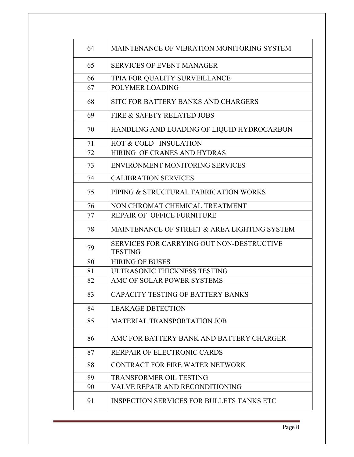| 64 | MAINTENANCE OF VIBRATION MONITORING SYSTEM                         |  |  |
|----|--------------------------------------------------------------------|--|--|
| 65 | <b>SERVICES OF EVENT MANAGER</b>                                   |  |  |
| 66 | TPIA FOR QUALITY SURVEILLANCE                                      |  |  |
| 67 | POLYMER LOADING                                                    |  |  |
| 68 | SITC FOR BATTERY BANKS AND CHARGERS                                |  |  |
| 69 | FIRE & SAFETY RELATED JOBS                                         |  |  |
| 70 | HANDLING AND LOADING OF LIQUID HYDROCARBON                         |  |  |
| 71 | HOT & COLD INSULATION                                              |  |  |
| 72 | HIRING OF CRANES AND HYDRAS                                        |  |  |
| 73 | ENVIRONMENT MONITORING SERVICES                                    |  |  |
| 74 | <b>CALIBRATION SERVICES</b>                                        |  |  |
| 75 | PIPING & STRUCTURAL FABRICATION WORKS                              |  |  |
| 76 | NON CHROMAT CHEMICAL TREATMENT                                     |  |  |
| 77 | REPAIR OF OFFICE FURNITURE                                         |  |  |
| 78 | MAINTENANCE OF STREET & AREA LIGHTING SYSTEM                       |  |  |
| 79 | <b>SERVICES FOR CARRYING OUT NON-DESTRUCTIVE</b><br><b>TESTING</b> |  |  |
| 80 | <b>HIRING OF BUSES</b>                                             |  |  |
| 81 | ULTRASONIC THICKNESS TESTING                                       |  |  |
| 82 | AMC OF SOLAR POWER SYSTEMS                                         |  |  |
| 83 | CAPACITY TESTING OF BATTERY BANKS                                  |  |  |
| 84 | <b>LEAKAGE DETECTION</b>                                           |  |  |
| 85 | <b>MATERIAL TRANSPORTATION JOB</b>                                 |  |  |
| 86 | AMC FOR BATTERY BANK AND BATTERY CHARGER                           |  |  |
| 87 | RERPAIR OF ELECTRONIC CARDS                                        |  |  |
| 88 | CONTRACT FOR FIRE WATER NETWORK                                    |  |  |
| 89 | TRANSFORMER OIL TESTING                                            |  |  |
| 90 | VALVE REPAIR AND RECONDITIONING                                    |  |  |
| 91 | <b>INSPECTION SERVICES FOR BULLETS TANKS ETC</b>                   |  |  |
|    |                                                                    |  |  |

Page 8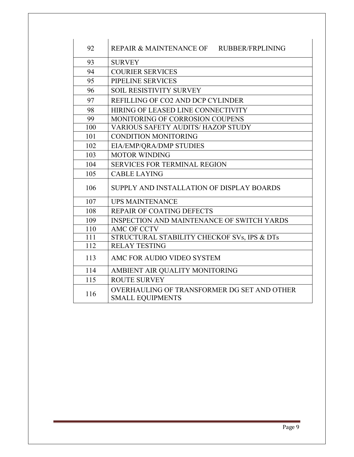| 92  | REPAIR & MAINTENANCE OF RUBBER/FRPLINING                               |  |  |
|-----|------------------------------------------------------------------------|--|--|
| 93  | <b>SURVEY</b>                                                          |  |  |
| 94  | <b>COURIER SERVICES</b>                                                |  |  |
| 95  | PIPELINE SERVICES                                                      |  |  |
| 96  | <b>SOIL RESISTIVITY SURVEY</b>                                         |  |  |
| 97  | REFILLING OF CO2 AND DCP CYLINDER                                      |  |  |
| 98  | HIRING OF LEASED LINE CONNECTIVITY                                     |  |  |
| 99  | <b>MONITORING OF CORROSION COUPENS</b>                                 |  |  |
| 100 | <b>VARIOUS SAFETY AUDITS/ HAZOP STUDY</b>                              |  |  |
| 101 | <b>CONDITION MONITORING</b>                                            |  |  |
| 102 | EIA/EMP/QRA/DMP STUDIES                                                |  |  |
| 103 | <b>MOTOR WINDING</b>                                                   |  |  |
| 104 | <b>SERVICES FOR TERMINAL REGION</b>                                    |  |  |
| 105 | <b>CABLE LAYING</b>                                                    |  |  |
| 106 | SUPPLY AND INSTALLATION OF DISPLAY BOARDS                              |  |  |
| 107 | <b>UPS MAINTENANCE</b>                                                 |  |  |
| 108 | <b>REPAIR OF COATING DEFECTS</b>                                       |  |  |
| 109 | <b>INSPECTION AND MAINTENANCE OF SWITCH YARDS</b>                      |  |  |
| 110 | <b>AMC OF CCTV</b>                                                     |  |  |
| 111 | STRUCTURAL STABILITY CHECKOF SVs, IPS & DTs                            |  |  |
| 112 | <b>RELAY TESTING</b>                                                   |  |  |
| 113 | AMC FOR AUDIO VIDEO SYSTEM                                             |  |  |
| 114 | AMBIENT AIR QUALITY MONITORING                                         |  |  |
| 115 | <b>ROUTE SURVEY</b>                                                    |  |  |
| 116 | OVERHAULING OF TRANSFORMER DG SET AND OTHER<br><b>SMALL EOUIPMENTS</b> |  |  |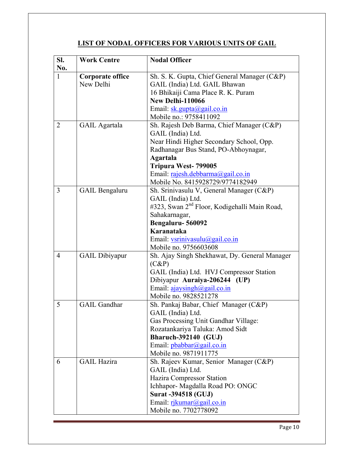### **LIST OF NODAL OFFICERS FOR VARIOUS UNITS OF GAIL**

| SI.<br>No.     | <b>Work Centre</b>      | <b>Nodal Officer</b>                                                      |
|----------------|-------------------------|---------------------------------------------------------------------------|
| $\mathbf{1}$   | <b>Corporate office</b> | Sh. S. K. Gupta, Chief General Manager (C&P)                              |
|                | New Delhi               | GAIL (India) Ltd. GAIL Bhawan                                             |
|                |                         | 16 Bhikaiji Cama Place R. K. Puram                                        |
|                |                         | New Delhi-110066                                                          |
|                |                         | Email: $\underline{\text{sk.gupta}(a)}$ gail.co.in                        |
|                |                         | Mobile no.: 9758411092                                                    |
| $\overline{2}$ | <b>GAIL</b> Agartala    | Sh. Rajesh Deb Barma, Chief Manager (C&P)                                 |
|                |                         | GAIL (India) Ltd.                                                         |
|                |                         | Near Hindi Higher Secondary School, Opp.                                  |
|                |                         | Radhanagar Bus Stand, PO-Abhoynagar,                                      |
|                |                         | <b>Agartala</b>                                                           |
|                |                         | Tripura West-799005                                                       |
|                |                         | Email: rajesh.debbarma@gail.co.in                                         |
|                |                         | Mobile No. 8415928729/9774182949                                          |
| 3              | <b>GAIL Bengaluru</b>   | Sh. Srinivasulu V, General Manager (C&P)                                  |
|                |                         | GAIL (India) Ltd.                                                         |
|                |                         | #323, Swan 2 <sup>nd</sup> Floor, Kodigehalli Main Road,                  |
|                |                         | Sahakarnagar,                                                             |
|                |                         | Bengaluru-560092                                                          |
|                |                         | Karanataka                                                                |
|                |                         | Email: vsrinivasulu@gail.co.in                                            |
|                |                         | Mobile no. 9756603608                                                     |
| $\overline{4}$ | <b>GAIL Dibiyapur</b>   | Sh. Ajay Singh Shekhawat, Dy. General Manager                             |
|                |                         | $(C\&P)$                                                                  |
|                |                         | GAIL (India) Ltd. HVJ Compressor Station<br>Dibiyapur Auraiya-206244 (UP) |
|                |                         | Email: ajaysingh@gail.co.in                                               |
|                |                         | Mobile no. 9828521278                                                     |
| 5              | <b>GAIL Gandhar</b>     | Sh. Pankaj Babar, Chief Manager (C&P)                                     |
|                |                         | GAIL (India) Ltd.                                                         |
|                |                         | Gas Processing Unit Gandhar Village:                                      |
|                |                         | Rozatankariya Taluka: Amod Sidt                                           |
|                |                         | <b>Bharuch-392140 (GUJ)</b>                                               |
|                |                         | Email: $pbabbar(\omega)$ gail.co.in                                       |
|                |                         | Mobile no. 9871911775                                                     |
| 6              | <b>GAIL Hazira</b>      | Sh. Rajeev Kumar, Senior Manager (C&P)                                    |
|                |                         | GAIL (India) Ltd.                                                         |
|                |                         | Hazira Compressor Station                                                 |
|                |                         | Ichhapor-Magdalla Road PO: ONGC                                           |
|                |                         | <b>Surat -394518 (GUJ)</b>                                                |
|                |                         | Email: $rikumar(\partial gail.co.in)$                                     |
|                |                         | Mobile no. 7702778092                                                     |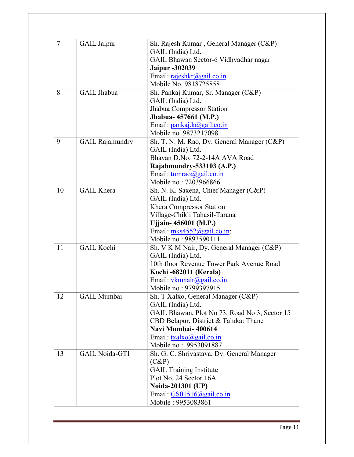| 7  |                        |                                               |
|----|------------------------|-----------------------------------------------|
|    | <b>GAIL</b> Jaipur     | Sh. Rajesh Kumar, General Manager (C&P)       |
|    |                        | GAIL (India) Ltd.                             |
|    |                        | GAIL Bhawan Sector-6 Vidhyadhar nagar         |
|    |                        | <b>Jaipur -302039</b>                         |
|    |                        | Email: rajeshkr@gail.co.in                    |
|    |                        | Mobile No. 9818725858                         |
| 8  | <b>GAIL Jhabua</b>     | Sh. Pankaj Kumar, Sr. Manager (C&P)           |
|    |                        | GAIL (India) Ltd.                             |
|    |                        | Jhabua Compressor Station                     |
|    |                        | Jhabua- 457661 (M.P.)                         |
|    |                        | Email: pankaj.k@gail.co.in                    |
|    |                        | Mobile no. 9873217098                         |
| 9  | <b>GAIL Rajamundry</b> | Sh. T. N. M. Rao, Dy. General Manager (C&P)   |
|    |                        | GAIL (India) Ltd.                             |
|    |                        | Bhavan D.No. 72-2-14A AVA Road                |
|    |                        | Rajahmundry-533103 (A.P.)                     |
|    |                        | Email: tnmrao@gail.co.in                      |
|    |                        | Mobile no.: 7203966866                        |
| 10 | <b>GAIL Khera</b>      | Sh. N. K. Saxena, Chief Manager (C&P)         |
|    |                        | GAIL (India) Ltd.                             |
|    |                        | Khera Compressor Station                      |
|    |                        | Village-Chikli Tahasil-Tarana                 |
|    |                        | Ujjain-456001 (M.P.)                          |
|    |                        | Email: mks4552@gail.co.in;                    |
|    |                        | Mobile no.: 9893590111                        |
| 11 | <b>GAIL Kochi</b>      | Sh. V K M Nair, Dy. General Manager (C&P)     |
|    |                        | GAIL (India) Ltd.                             |
|    |                        | 10th floor Revenue Tower Park Avenue Road     |
|    |                        | Kochi -682011 (Kerala)                        |
|    |                        | Email: $v$ kmnair@gail.co.in                  |
|    |                        | Mobile no.: 9799397915                        |
| 12 | <b>GAIL Mumbai</b>     | Sh. T Xalxo, General Manager (C&P)            |
|    |                        | GAIL (India) Ltd.                             |
|    |                        | GAIL Bhawan, Plot No 73, Road No 3, Sector 15 |
|    |                        | CBD Belapur, District & Taluka: Thane         |
|    |                        | Navi Mumbai-400614                            |
|    |                        | Email: $txalxo@gail.co.in$                    |
|    |                        | Mobile no.: 9953091887                        |
| 13 | <b>GAIL Noida-GTI</b>  | Sh. G. C. Shrivastava, Dy. General Manager    |
|    |                        |                                               |
|    |                        | $(C\&P)$                                      |
|    |                        | <b>GAIL</b> Training Institute                |
|    |                        | Plot No. 24 Sector 16A                        |
|    |                        | Noida-201301 (UP)                             |
|    |                        | Email: $GS01516$ ( $Q$ gail.co.in             |
|    |                        | Mobile: 9953083861                            |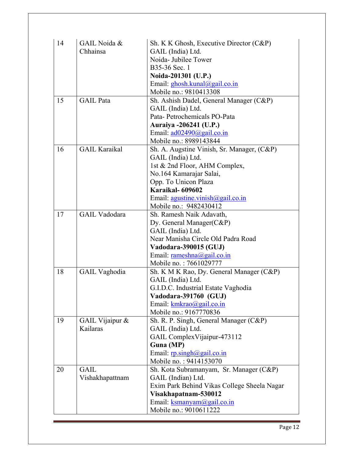| 14 | GAIL Noida &         | Sh. K K Ghosh, Executive Director (C&P)     |
|----|----------------------|---------------------------------------------|
|    | Chhainsa             | GAIL (India) Ltd.                           |
|    |                      | Noida-Jubilee Tower                         |
|    |                      | B35-36 Sec. 1                               |
|    |                      | Noida-201301 (U.P.)                         |
|    |                      | Email: ghosh.kunal@gail.co.in               |
|    |                      | Mobile no.: 9810413308                      |
| 15 | <b>GAIL</b> Pata     | Sh. Ashish Dadel, General Manager (C&P)     |
|    |                      | GAIL (India) Ltd.                           |
|    |                      | Pata-Petrochemicals PO-Pata                 |
|    |                      | Auraiya -206241 (U.P.)                      |
|    |                      | Email: $\frac{ad02490}{a}$ gail.co.in       |
|    |                      | Mobile no.: 8989143844                      |
| 16 | <b>GAIL Karaikal</b> | Sh. A. Augstine Vinish, Sr. Manager, (C&P)  |
|    |                      | GAIL (India) Ltd.                           |
|    |                      | 1st & 2nd Floor, AHM Complex,               |
|    |                      | No.164 Kamarajar Salai,                     |
|    |                      | Opp. To Unicon Plaza                        |
|    |                      | Karaikal- 609602                            |
|    |                      | Email: $agustine.vinish@gail.co.in$         |
|    |                      | Mobile no.: 9482430412                      |
| 17 | <b>GAIL Vadodara</b> | Sh. Ramesh Naik Adavath,                    |
|    |                      | Dy. General Manager(C&P)                    |
|    |                      | GAIL (India) Ltd.                           |
|    |                      | Near Manisha Circle Old Padra Road          |
|    |                      | Vadodara-390015 (GUJ)                       |
|    |                      | Email: $rameshna(a)gail.co.in$              |
|    |                      | Mobile no.: 7661029777                      |
| 18 | <b>GAIL Vaghodia</b> | Sh. K M K Rao, Dy. General Manager (C&P)    |
|    |                      | GAIL (India) Ltd.                           |
|    |                      | G.I.D.C. Industrial Estate Vaghodia         |
|    |                      | Vadodara-391760 (GUJ)                       |
|    |                      | Email: $kmkrao$ @gail.co.in                 |
|    |                      | Mobile no.: 9167770836                      |
| 19 | GAIL Vijaipur &      | Sh. R. P. Singh, General Manager (C&P)      |
|    | Kailaras             | GAIL (India) Ltd.                           |
|    |                      | GAIL ComplexVijaipur-473112                 |
|    |                      | Guna (MP)                                   |
|    |                      | Email: $r$ p.singh@gail.co.in               |
|    |                      | Mobile no.: 9414153070                      |
| 20 | <b>GAIL</b>          | Sh. Kota Subramanyam, Sr. Manager (C&P)     |
|    | Vishakhapattnam      | GAIL (Indian) Ltd.                          |
|    |                      | Exim Park Behind Vikas College Sheela Nagar |
|    |                      | Visakhapatnam-530012                        |
|    |                      | Email: ksmanyam@gail.co.in                  |
|    |                      | Mobile no.: 9010611222                      |
|    |                      |                                             |